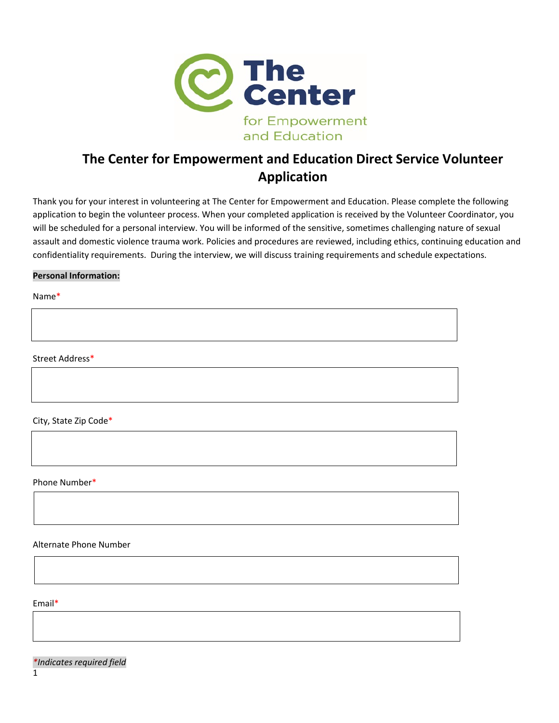

# **The Center for Empowerment and Education Direct Service Volunteer Application**

Thank you for your interest in volunteering at The Center for Empowerment and Education. Please complete the following application to begin the volunteer process. When your completed application is received by the Volunteer Coordinator, you will be scheduled for a personal interview. You will be informed of the sensitive, sometimes challenging nature of sexual assault and domestic violence trauma work. Policies and procedures are reviewed, including ethics, continuing education and confidentiality requirements. During the interview, we will discuss training requirements and schedule expectations.

### **Personal Information:**

Name\*

Street Address\*

City, State Zip Code\*

Phone Number\*

Alternate Phone Number

Email\*

*\*Indicates required field*

1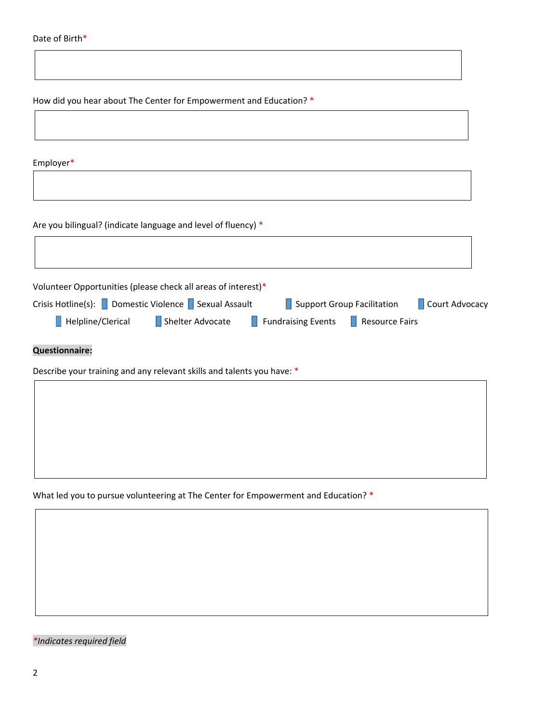How did you hear about The Center for Empowerment and Education? \*

Employer\*

Are you bilingual? (indicate language and level of fluency) \*

|                                                     | Volunteer Opportunities (please check all areas of interest)* |                                   |                            |  |
|-----------------------------------------------------|---------------------------------------------------------------|-----------------------------------|----------------------------|--|
| Crisis Hotline(s): Domestic Violence Sexual Assault |                                                               |                                   | Support Group Facilitation |  |
| Helpline/Clerical                                   | Shelter Advocate                                              | $\blacksquare$ Fundraising Events | <b>Resource Fairs</b>      |  |
| <b>Questionnaire:</b>                               |                                                               |                                   |                            |  |

Describe your training and any relevant skills and talents you have: \*

What led you to pursue volunteering at The Center for Empowerment and Education? \*

*\*Indicates required field*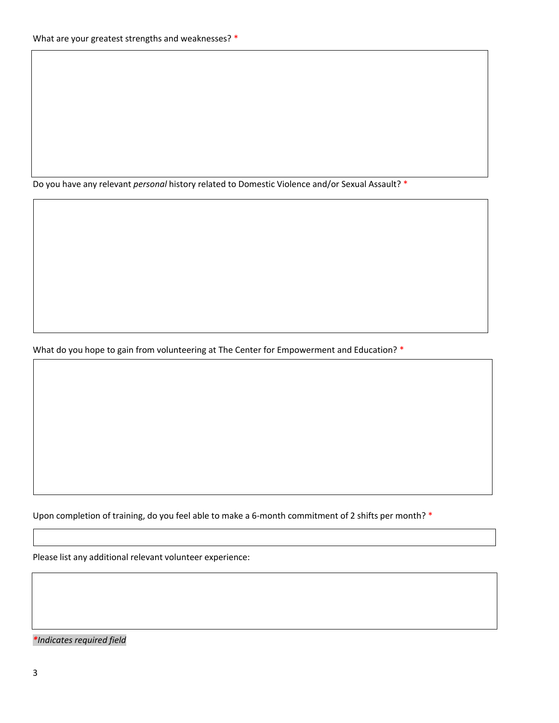Do you have any relevant *personal* history related to Domestic Violence and/or Sexual Assault? \*

What do you hope to gain from volunteering at The Center for Empowerment and Education? \*

Upon completion of training, do you feel able to make a 6-month commitment of 2 shifts per month? \*

Please list any additional relevant volunteer experience:

*\*Indicates required field*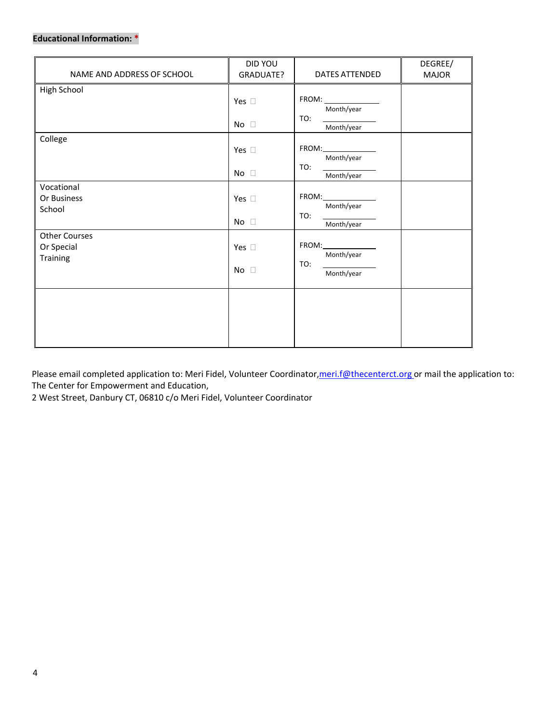## **Educational Information: \***

| NAME AND ADDRESS OF SCHOOL                     | DID YOU<br>DATES ATTENDED<br>GRADUATE? |                                                                       | DEGREE/<br><b>MAJOR</b> |
|------------------------------------------------|----------------------------------------|-----------------------------------------------------------------------|-------------------------|
| High School                                    | Yes $\square$                          | FROM:<br>Month/year                                                   |                         |
|                                                | No $\square$                           | TO:<br>Month/year                                                     |                         |
| College                                        | Yes $\square$<br>No $\square$          | FROM:<br>Month/year<br>TO:<br>Month/year                              |                         |
| Vocational<br>Or Business<br>School            | Yes $\square$<br>No $\square$          | $FROM: \underline{\hspace{2.5cm}}$<br>Month/year<br>TO:<br>Month/year |                         |
| <b>Other Courses</b><br>Or Special<br>Training | Yes $\square$<br>No<br>$\Box$          | FROM:<br>Month/year<br>TO:<br>Month/year                              |                         |
|                                                |                                        |                                                                       |                         |

Please email completed application to: Meri Fidel, Volunteer Coordinator, meri.f@thecenterct.org or mail the application to: The Center for Empowerment and Education,

2 West Street, Danbury CT, 06810 c/o Meri Fidel, Volunteer Coordinator